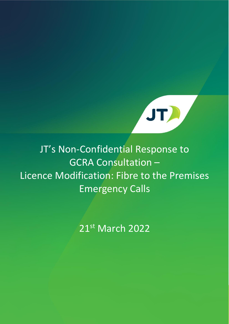

## JT's Non-Confidential Response to GCRA Consultation – Licence Modification: Fibre to the Premises Emergency Calls

21st March 2022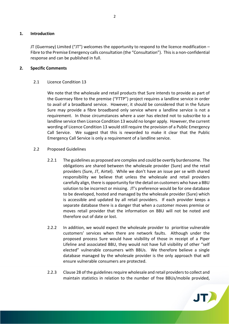## **1. Introduction**

JT (Guernsey) Limited ("JT") welcomes the opportunity to respond to the licence modification – Fibre to the Premise Emergency calls consultation (the "Consultation"). This is a non-confidential response and can be published in full.

## **2. Specific Comments**

## 2.1 Licence Condition 13

We note that the wholesale and retail products that Sure intends to provide as part of the Guernsey fibre to the premise ("FTTP") project requires a landline service in order to avail of a broadband service. However, it should be considered that in the future Sure may provide a fibre broadband only service where a landline service is not a requirement. In those circumstances where a user has elected not to subscribe to a landline service then Licence Condition 13 would no longer apply. However, the current wording of Licence Condition 13 would still require the provision of a Public Emergency Call Service. We suggest that this is reworded to make it clear that the Public Emergency Call Service is only a requirement of a landline service.

- 2.2 Proposed Guidelines
	- 2.2.1 The guidelines as proposed are complex and could be overtly burdensome. The obligations are shared between the wholesale provider (Sure) and the retail providers (Sure, JT, Airtel). While we don't have an issue per se with shared responsibility we believe that unless the wholesale and retail providers carefully align, there is opportunity for the detail on customers who have a BBU solution to be incorrect or missing. JT's preference would be for one database to be developed, hosted and managed by the wholesale provider (Sure) which is accessible and updated by all retail providers. If each provider keeps a separate database there is a danger that when a customer moves premise or moves retail provider that the information on BBU will not be noted and therefore out of date or lost.
	- 2.2.2 In addition, we would expect the wholesale provider to prioritise vulnerable customers' services when there are network faults. Although under the proposed process Sure would have visibility of those in receipt of a Piper Lifeline and associated BBU, they would not have full visibility of other "self elected" vulnerable consumers with BBUs. We therefore believe a single database managed by the wholesale provider is the only approach that will ensure vulnerable consumers are protected.
	- 2.2.3 Clause 28 of the guidelines require wholesale and retail providers to collect and maintain statistics in relation to the number of free BBUs/mobile provided,

**JTA**